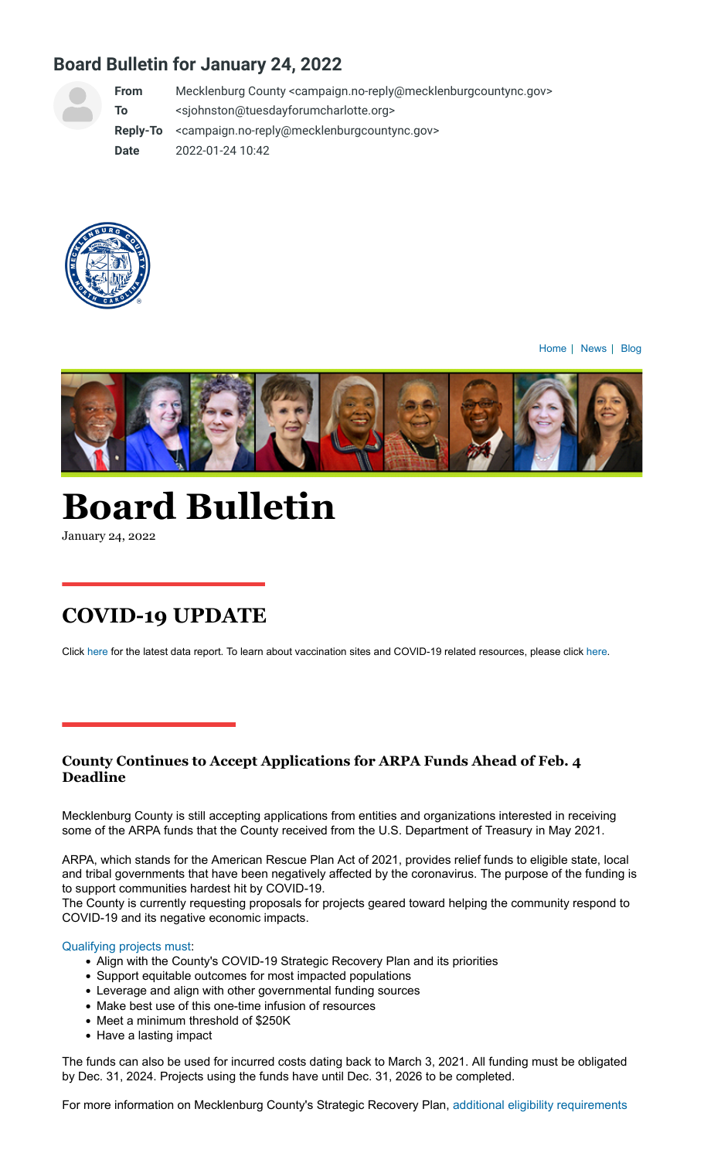### **Board Bulletin for January 24, 2022**



- **From** Mecklenburg County <campaign.no-reply@mecklenburgcountync.gov>
- **To** <sjohnston@tuesdayforumcharlotte.org>
- **Reply-To** <campaign.no-reply@mecklenburgcountync.gov>



**Date** 2022-01-24 10:42



[Home](http://clicks.mecklenburgcountync.gov/f/a/aIgbyUE9fnq9u02Xv2nkZw~~/AACuKQA~/RgRj0U3nP4QaAWh0dHBzOi8vZ28ubWVja25jLmdvdi9yL2ZhY2VmNzAyNjY4NDUyY2U3NGM1MjU5YjI_Y3Q9WVRvMU9udHpPalk2SW5OdmRYSmpaU0k3WVRveU9udHBPakE3Y3pvMU9pSmxiV0ZwYkNJN2FUb3hPMms2TVRjNE8zMXpPalU2SW1WdFlXbHNJanRwT2pFM09EdHpPalE2SW5OMFlYUWlPM002TWpJNklqWXhaV1ZqT0dVMFltWmhaR0V6TXprek56VTFOekVpTzNNNk5Eb2liR1ZoWkNJN2N6bzFPaUl4T1RjNU1DSTdjem8zT2lKamFHRnVibVZzSWp0aE9qRTZlM002TlRvaVpXMWhhV3dpTzJrNk1UYzRPMzE5JlcDc3BjQgph4OfI7mFil7NFUiNzam9obnN0b25AdHVlc2RheWZvcnVtY2hhcmxvdHRlLm9yZ1gEAAADBg~~) | [News](http://clicks.mecklenburgcountync.gov/f/a/wL69FWC8IZo38XbvKPzt1Q~~/AACuKQA~/RgRj0U3nP4QaAWh0dHBzOi8vZ28ubWVja25jLmdvdi9yL2E4MDY4NTg3Y2EzMzRlODg4NjE0NWE0Nzk_Y3Q9WVRvMU9udHpPalk2SW5OdmRYSmpaU0k3WVRveU9udHBPakE3Y3pvMU9pSmxiV0ZwYkNJN2FUb3hPMms2TVRjNE8zMXpPalU2SW1WdFlXbHNJanRwT2pFM09EdHpPalE2SW5OMFlYUWlPM002TWpJNklqWXhaV1ZqT0dVMFltWmhaR0V6TXprek56VTFOekVpTzNNNk5Eb2liR1ZoWkNJN2N6bzFPaUl4T1RjNU1DSTdjem8zT2lKamFHRnVibVZzSWp0aE9qRTZlM002TlRvaVpXMWhhV3dpTzJrNk1UYzRPMzE5JlcDc3BjQgph4OfI7mFil7NFUiNzam9obnN0b25AdHVlc2RheWZvcnVtY2hhcmxvdHRlLm9yZ1gEAAADBg~~) | [Blog](http://clicks.mecklenburgcountync.gov/f/a/1zznCY1NoXcW3nIrB-pScQ~~/AACuKQA~/RgRj0U3nP4QaAWh0dHBzOi8vZ28ubWVja25jLmdvdi9yLzNlOTM3ZThhNzllNTBkMzRmNGE0ZGQ5ZjM_Y3Q9WVRvMU9udHpPalk2SW5OdmRYSmpaU0k3WVRveU9udHBPakE3Y3pvMU9pSmxiV0ZwYkNJN2FUb3hPMms2TVRjNE8zMXpPalU2SW1WdFlXbHNJanRwT2pFM09EdHpPalE2SW5OMFlYUWlPM002TWpJNklqWXhaV1ZqT0dVMFltWmhaR0V6TXprek56VTFOekVpTzNNNk5Eb2liR1ZoWkNJN2N6bzFPaUl4T1RjNU1DSTdjem8zT2lKamFHRnVibVZzSWp0aE9qRTZlM002TlRvaVpXMWhhV3dpTzJrNk1UYzRPMzE5JlcDc3BjQgph4OfI7mFil7NFUiNzam9obnN0b25AdHVlc2RheWZvcnVtY2hhcmxvdHRlLm9yZ1gEAAADBg~~)



# **Board Bulletin**

January 24, 2022

## **COVID-19 UPDATE**

Click [here](http://clicks.mecklenburgcountync.gov/f/a/QRKbbZ9HfgIQdpOWVbm3Qg~~/AACuKQA~/RgRj0U3nP4QaAWh0dHBzOi8vZ28ubWVja25jLmdvdi9yL2I5OGIxM2E0MTU5ZDM1ZmZlNWZmNWVlMTI_Y3Q9WVRvMU9udHpPalk2SW5OdmRYSmpaU0k3WVRveU9udHBPakE3Y3pvMU9pSmxiV0ZwYkNJN2FUb3hPMms2TVRjNE8zMXpPalU2SW1WdFlXbHNJanRwT2pFM09EdHpPalE2SW5OMFlYUWlPM002TWpJNklqWXhaV1ZqT0dVMFltWmhaR0V6TXprek56VTFOekVpTzNNNk5Eb2liR1ZoWkNJN2N6bzFPaUl4T1RjNU1DSTdjem8zT2lKamFHRnVibVZzSWp0aE9qRTZlM002TlRvaVpXMWhhV3dpTzJrNk1UYzRPMzE5JlcDc3BjQgph4OfI7mFil7NFUiNzam9obnN0b25AdHVlc2RheWZvcnVtY2hhcmxvdHRlLm9yZ1gEAAADBg~~) for the latest data report. To learn about vaccination sites and COVID-19 related resources, please click [here](http://clicks.mecklenburgcountync.gov/f/a/bTwcco3Va4RHOBmZT2ExzA~~/AACuKQA~/RgRj0U3nP4QaAWh0dHBzOi8vZ28ubWVja25jLmdvdi9yL2M0YjBlODhkMmQ1NTJlYzk2MDMxODU2NDU_Y3Q9WVRvMU9udHpPalk2SW5OdmRYSmpaU0k3WVRveU9udHBPakE3Y3pvMU9pSmxiV0ZwYkNJN2FUb3hPMms2TVRjNE8zMXpPalU2SW1WdFlXbHNJanRwT2pFM09EdHpPalE2SW5OMFlYUWlPM002TWpJNklqWXhaV1ZqT0dVMFltWmhaR0V6TXprek56VTFOekVpTzNNNk5Eb2liR1ZoWkNJN2N6bzFPaUl4T1RjNU1DSTdjem8zT2lKamFHRnVibVZzSWp0aE9qRTZlM002TlRvaVpXMWhhV3dpTzJrNk1UYzRPMzE5JlcDc3BjQgph4OfI7mFil7NFUiNzam9obnN0b25AdHVlc2RheWZvcnVtY2hhcmxvdHRlLm9yZ1gEAAADBg~~).

#### **County Continues to Accept Applications for ARPA Funds Ahead of Feb. 4 Deadline**

Mecklenburg County is still accepting applications from entities and organizations interested in receiving some of the ARPA funds that the County received from the U.S. Department of Treasury in May 2021.

ARPA, which stands for the American Rescue Plan Act of 2021, provides relief funds to eligible state, local and tribal governments that have been negatively affected by the coronavirus. The purpose of the funding is to support communities hardest hit by COVID-19.

The County is currently requesting proposals for projects geared toward helping the community respond to COVID-19 and its negative economic impacts.

#### [Qualifying projects must](http://clicks.mecklenburgcountync.gov/f/a/vpWRqITYx9ssrv214NmAzw~~/AACuKQA~/RgRj0U3nP4QaAWh0dHBzOi8vZ28ubWVja25jLmdvdi9yL2UzNTU5MWRhOGIxMjRjNGQyOTI4ODljMTE_Y3Q9WVRvMU9udHpPalk2SW5OdmRYSmpaU0k3WVRveU9udHBPakE3Y3pvMU9pSmxiV0ZwYkNJN2FUb3hPMms2TVRjNE8zMXpPalU2SW1WdFlXbHNJanRwT2pFM09EdHpPalE2SW5OMFlYUWlPM002TWpJNklqWXhaV1ZqT0dVMFltWmhaR0V6TXprek56VTFOekVpTzNNNk5Eb2liR1ZoWkNJN2N6bzFPaUl4T1RjNU1DSTdjem8zT2lKamFHRnVibVZzSWp0aE9qRTZlM002TlRvaVpXMWhhV3dpTzJrNk1UYzRPMzE5JlcDc3BjQgph4OfI7mFil7NFUiNzam9obnN0b25AdHVlc2RheWZvcnVtY2hhcmxvdHRlLm9yZ1gEAAADBg~~):

- . Align with the County's COVID-19 Strategic Recovery Plan and its priorities
- Support equitable outcomes for most impacted populations
- Leverage and align with other governmental funding sources
- Make best use of this one-time infusion of resources
- Meet a minimum threshold of \$250K
- Have a lasting impact

The funds can also be used for incurred costs dating back to March 3, 2021. All funding must be obligated by Dec. 31, 2024. Projects using the funds have until Dec. 31, 2026 to be completed.

For more information on Mecklenburg County's Strategic Recovery Plan, [additional eligibility requirements](http://clicks.mecklenburgcountync.gov/f/a/vpWRqITYx9ssrv214NmAzw~~/AACuKQA~/RgRj0U3nP4QaAWh0dHBzOi8vZ28ubWVja25jLmdvdi9yL2UzNTU5MWRhOGIxMjRjNGQyOTI4ODljMTE_Y3Q9WVRvMU9udHpPalk2SW5OdmRYSmpaU0k3WVRveU9udHBPakE3Y3pvMU9pSmxiV0ZwYkNJN2FUb3hPMms2TVRjNE8zMXpPalU2SW1WdFlXbHNJanRwT2pFM09EdHpPalE2SW5OMFlYUWlPM002TWpJNklqWXhaV1ZqT0dVMFltWmhaR0V6TXprek56VTFOekVpTzNNNk5Eb2liR1ZoWkNJN2N6bzFPaUl4T1RjNU1DSTdjem8zT2lKamFHRnVibVZzSWp0aE9qRTZlM002TlRvaVpXMWhhV3dpTzJrNk1UYzRPMzE5JlcDc3BjQgph4OfI7mFil7NFUiNzam9obnN0b25AdHVlc2RheWZvcnVtY2hhcmxvdHRlLm9yZ1gEAAADBg~~)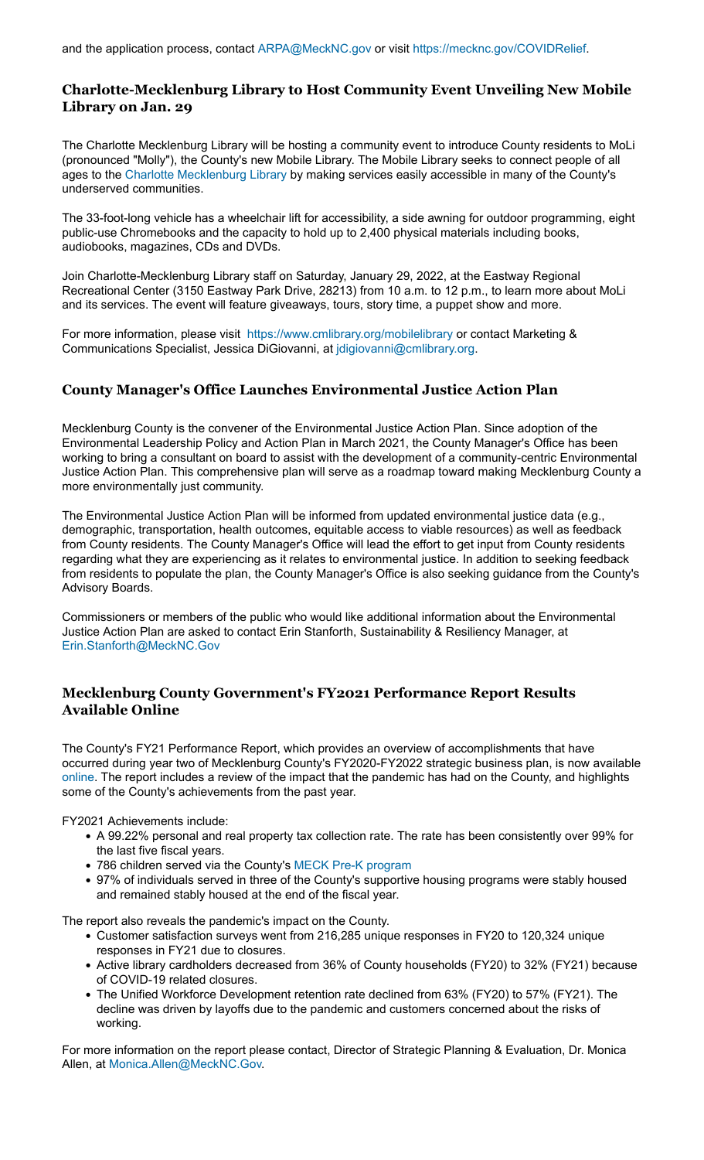#### **Charlotte-Mecklenburg Library to Host Community Event Unveiling New Mobile Library on Jan. 29**

The Charlotte Mecklenburg Library will be hosting a community event to introduce County residents to MoLi (pronounced "Molly"), the County's new Mobile Library. The Mobile Library seeks to connect people of all ages to the [Charlotte Mecklenburg Library](http://clicks.mecklenburgcountync.gov/f/a/S0gmGhKuzZ10M7jX8In5_Q~~/AACuKQA~/RgRj0U3nP4QaAWh0dHBzOi8vZ28ubWVja25jLmdvdi9yLzhjYmQ1Njk3ZGRmZjk1MjhhNTI3ZTYwMjg_Y3Q9WVRvMU9udHpPalk2SW5OdmRYSmpaU0k3WVRveU9udHBPakE3Y3pvMU9pSmxiV0ZwYkNJN2FUb3hPMms2TVRjNE8zMXpPalU2SW1WdFlXbHNJanRwT2pFM09EdHpPalE2SW5OMFlYUWlPM002TWpJNklqWXhaV1ZqT0dVMFltWmhaR0V6TXprek56VTFOekVpTzNNNk5Eb2liR1ZoWkNJN2N6bzFPaUl4T1RjNU1DSTdjem8zT2lKamFHRnVibVZzSWp0aE9qRTZlM002TlRvaVpXMWhhV3dpTzJrNk1UYzRPMzE5JlcDc3BjQgph4OfI7mFil7NFUiNzam9obnN0b25AdHVlc2RheWZvcnVtY2hhcmxvdHRlLm9yZ1gEAAADBg~~) by making services easily accessible in many of the County's underserved communities.

The 33-foot-long vehicle has a wheelchair lift for accessibility, a side awning for outdoor programming, eight public-use Chromebooks and the capacity to hold up to 2,400 physical materials including books, audiobooks, magazines, CDs and DVDs.

Join Charlotte-Mecklenburg Library staff on Saturday, January 29, 2022, at the Eastway Regional Recreational Center (3150 Eastway Park Drive, 28213) from 10 a.m. to 12 p.m., to learn more about MoLi and its services. The event will feature giveaways, tours, story time, a puppet show and more.

For more information, please visit [https://www.cmlibrary.org/mobilelibrary](http://clicks.mecklenburgcountync.gov/f/a/P7mny6DkqtsBc539IJXgBA~~/AACuKQA~/RgRj0U3nP4QaAWh0dHBzOi8vZ28ubWVja25jLmdvdi9yLzNlNmQyY2ZhN2ViMTYwZjM2ODVjNzc5ZTk_Y3Q9WVRvMU9udHpPalk2SW5OdmRYSmpaU0k3WVRveU9udHBPakE3Y3pvMU9pSmxiV0ZwYkNJN2FUb3hPMms2TVRjNE8zMXpPalU2SW1WdFlXbHNJanRwT2pFM09EdHpPalE2SW5OMFlYUWlPM002TWpJNklqWXhaV1ZqT0dVMFltWmhaR0V6TXprek56VTFOekVpTzNNNk5Eb2liR1ZoWkNJN2N6bzFPaUl4T1RjNU1DSTdjem8zT2lKamFHRnVibVZzSWp0aE9qRTZlM002TlRvaVpXMWhhV3dpTzJrNk1UYzRPMzE5JlcDc3BjQgph4OfI7mFil7NFUiNzam9obnN0b25AdHVlc2RheWZvcnVtY2hhcmxvdHRlLm9yZ1gEAAADBg~~) or contact Marketing & Communications Specialist, Jessica DiGiovanni, at [jdigiovanni@cmlibrary.org.](mailto:jdigiovanni@cmlibrary.org)

#### **County Manager's Office Launches Environmental Justice Action Plan**

Mecklenburg County is the convener of the Environmental Justice Action Plan. Since adoption of the Environmental Leadership Policy and Action Plan in March 2021, the County Manager's Office has been working to bring a consultant on board to assist with the development of a community-centric Environmental Justice Action Plan. This comprehensive plan will serve as a roadmap toward making Mecklenburg County a more environmentally just community.

The Environmental Justice Action Plan will be informed from updated environmental justice data (e.g., demographic, transportation, health outcomes, equitable access to viable resources) as well as feedback from County residents. The County Manager's Office will lead the effort to get input from County residents regarding what they are experiencing as it relates to environmental justice. In addition to seeking feedback from residents to populate the plan, the County Manager's Office is also seeking guidance from the County's Advisory Boards.

Commissioners or members of the public who would like additional information about the Environmental Justice Action Plan are asked to contact Erin Stanforth, Sustainability & Resiliency Manager, at [Erin.Stanforth@MeckNC.Gov](mailto:erin.stanforth@mecknc.gov)

#### **Mecklenburg County Government's FY2021 Performance Report Results Available Online**

The County's FY21 Performance Report, which provides an overview of accomplishments that have occurred during year two of Mecklenburg County's FY2020-FY2022 strategic business plan, is now available [online](http://clicks.mecklenburgcountync.gov/f/a/DemtO-KgemQsj0I8JTQz-w~~/AACuKQA~/RgRj0U3nP4QaAWh0dHBzOi8vZ28ubWVja25jLmdvdi9yLzBlMmM4NmQ5YjU4MTE1ZjI2OTUxN2E2ODk_Y3Q9WVRvMU9udHpPalk2SW5OdmRYSmpaU0k3WVRveU9udHBPakE3Y3pvMU9pSmxiV0ZwYkNJN2FUb3hPMms2TVRjNE8zMXpPalU2SW1WdFlXbHNJanRwT2pFM09EdHpPalE2SW5OMFlYUWlPM002TWpJNklqWXhaV1ZqT0dVMFltWmhaR0V6TXprek56VTFOekVpTzNNNk5Eb2liR1ZoWkNJN2N6bzFPaUl4T1RjNU1DSTdjem8zT2lKamFHRnVibVZzSWp0aE9qRTZlM002TlRvaVpXMWhhV3dpTzJrNk1UYzRPMzE5JlcDc3BjQgph4OfI7mFil7NFUiNzam9obnN0b25AdHVlc2RheWZvcnVtY2hhcmxvdHRlLm9yZ1gEAAADBg~~). The report includes a review of the impact that the pandemic has had on the County, and highlights some of the County's achievements from the past year.

FY2021 Achievements include:

- !"A 99.22% personal and real property tax collection rate. The rate has been consistently over 99% for the last five fiscal years.
- . 786 children served via the County's [MECK Pre-K program](http://clicks.mecklenburgcountync.gov/f/a/JuIg4cSWjTSILwtDXmHvQw~~/AACuKQA~/RgRj0U3nP4QaAWh0dHBzOi8vZ28ubWVja25jLmdvdi9yLzY1MWQ3ZGYyODAyM2Q0ODQ5OGU1OGU2ODg_Y3Q9WVRvMU9udHpPalk2SW5OdmRYSmpaU0k3WVRveU9udHBPakE3Y3pvMU9pSmxiV0ZwYkNJN2FUb3hPMms2TVRjNE8zMXpPalU2SW1WdFlXbHNJanRwT2pFM09EdHpPalE2SW5OMFlYUWlPM002TWpJNklqWXhaV1ZqT0dVMFltWmhaR0V6TXprek56VTFOekVpTzNNNk5Eb2liR1ZoWkNJN2N6bzFPaUl4T1RjNU1DSTdjem8zT2lKamFHRnVibVZzSWp0aE9qRTZlM002TlRvaVpXMWhhV3dpTzJrNk1UYzRPMzE5JlcDc3BjQgph4OfI7mFil7NFUiNzam9obnN0b25AdHVlc2RheWZvcnVtY2hhcmxvdHRlLm9yZ1gEAAADBg~~)
- . 97% of individuals served in three of the County's supportive housing programs were stably housed and remained stably housed at the end of the fiscal year.

The report also reveals the pandemic's impact on the County.

- !"Customer satisfaction surveys went from 216,285 unique responses in FY20 to 120,324 unique responses in FY21 due to closures.
- !"Active library cardholders decreased from 36% of County households (FY20) to 32% (FY21) because of COVID-19 related closures.
- The Unified Workforce Development retention rate declined from 63% (FY20) to 57% (FY21). The decline was driven by layoffs due to the pandemic and customers concerned about the risks of working.

For more information on the report please contact, Director of Strategic Planning & Evaluation, Dr. Monica Allen, at [Monica.Allen@MeckNC.Gov](mailto:Monica.Allen@MeckNC.Gov).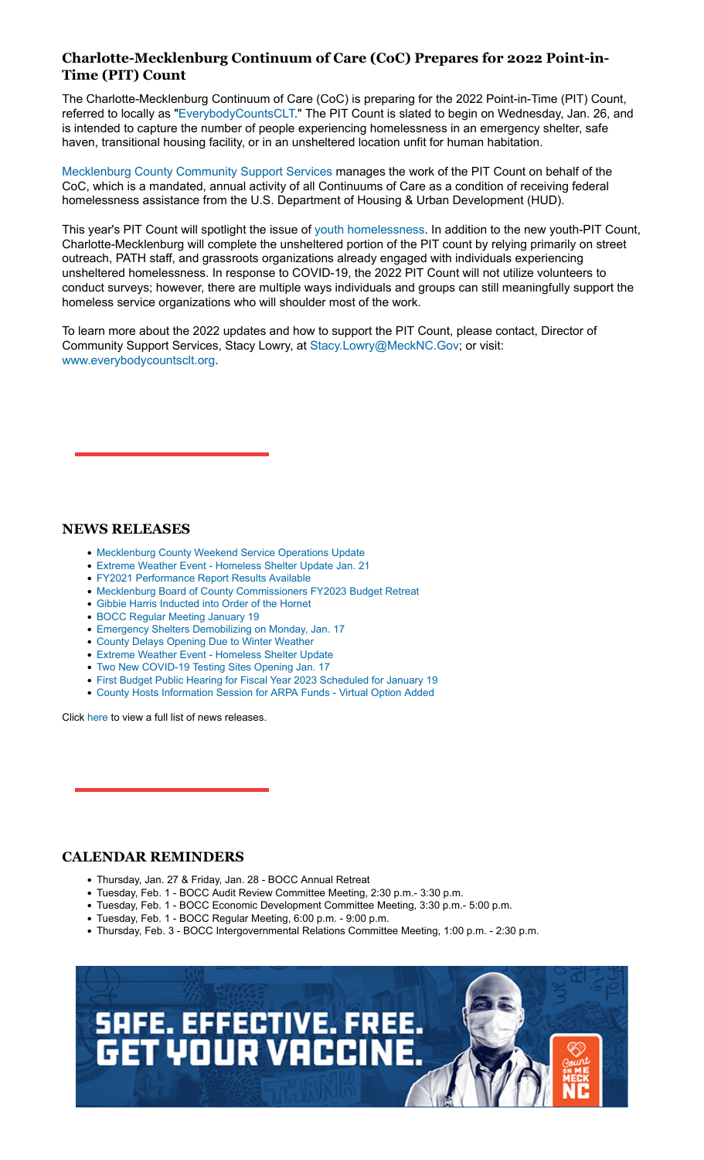#### **Charlotte-Mecklenburg Continuum of Care (CoC) Prepares for 2022 Point-in-Time (PIT) Count**

The Charlotte-Mecklenburg Continuum of Care (CoC) is preparing for the 2022 Point-in-Time (PIT) Count, referred to locally as ["EverybodyCountsCLT.](http://clicks.mecklenburgcountync.gov/f/a/7iZ69_wa0fzirWAgqy2G1Q~~/AACuKQA~/RgRj0U3nP4QaAWh0dHBzOi8vZ28ubWVja25jLmdvdi9yL2VhMTI5YmM4YzBjMDM2ZTU0MmEyZTk5ZGQ_Y3Q9WVRvMU9udHpPalk2SW5OdmRYSmpaU0k3WVRveU9udHBPakE3Y3pvMU9pSmxiV0ZwYkNJN2FUb3hPMms2TVRjNE8zMXpPalU2SW1WdFlXbHNJanRwT2pFM09EdHpPalE2SW5OMFlYUWlPM002TWpJNklqWXhaV1ZqT0dVMFltWmhaR0V6TXprek56VTFOekVpTzNNNk5Eb2liR1ZoWkNJN2N6bzFPaUl4T1RjNU1DSTdjem8zT2lKamFHRnVibVZzSWp0aE9qRTZlM002TlRvaVpXMWhhV3dpTzJrNk1UYzRPMzE5JlcDc3BjQgph4OfI7mFil7NFUiNzam9obnN0b25AdHVlc2RheWZvcnVtY2hhcmxvdHRlLm9yZ1gEAAADBg~~)" The PIT Count is slated to begin on Wednesday, Jan. 26, and is intended to capture the number of people experiencing homelessness in an emergency shelter, safe haven, transitional housing facility, or in an unsheltered location unfit for human habitation.

[Mecklenburg County Community Support Services](http://clicks.mecklenburgcountync.gov/f/a/MDTPB2ZtPPTfVJtZ6n-KVA~~/AACuKQA~/RgRj0U3nP4QaAWh0dHBzOi8vZ28ubWVja25jLmdvdi9yLzE3Yzg2OGRkZDA1YTAwYTRjOGM0OTQ3OTE_Y3Q9WVRvMU9udHpPalk2SW5OdmRYSmpaU0k3WVRveU9udHBPakE3Y3pvMU9pSmxiV0ZwYkNJN2FUb3hPMms2TVRjNE8zMXpPalU2SW1WdFlXbHNJanRwT2pFM09EdHpPalE2SW5OMFlYUWlPM002TWpJNklqWXhaV1ZqT0dVMFltWmhaR0V6TXprek56VTFOekVpTzNNNk5Eb2liR1ZoWkNJN2N6bzFPaUl4T1RjNU1DSTdjem8zT2lKamFHRnVibVZzSWp0aE9qRTZlM002TlRvaVpXMWhhV3dpTzJrNk1UYzRPMzE5JlcDc3BjQgph4OfI7mFil7NFUiNzam9obnN0b25AdHVlc2RheWZvcnVtY2hhcmxvdHRlLm9yZ1gEAAADBg~~) manages the work of the PIT Count on behalf of the CoC, which is a mandated, annual activity of all Continuums of Care as a condition of receiving federal homelessness assistance from the U.S. Department of Housing & Urban Development (HUD).

This year's PIT Count will spotlight the issue of [youth homelessness](http://clicks.mecklenburgcountync.gov/f/a/erSq-g8ddplUSqb7imNMJQ~~/AACuKQA~/RgRj0U3nP4QaAWh0dHBzOi8vZ28ubWVja25jLmdvdi9yLzQ2M2FlMDMwYzkwZmRmNjViNzVmNzYwNGU_Y3Q9WVRvMU9udHpPalk2SW5OdmRYSmpaU0k3WVRveU9udHBPakE3Y3pvMU9pSmxiV0ZwYkNJN2FUb3hPMms2TVRjNE8zMXpPalU2SW1WdFlXbHNJanRwT2pFM09EdHpPalE2SW5OMFlYUWlPM002TWpJNklqWXhaV1ZqT0dVMFltWmhaR0V6TXprek56VTFOekVpTzNNNk5Eb2liR1ZoWkNJN2N6bzFPaUl4T1RjNU1DSTdjem8zT2lKamFHRnVibVZzSWp0aE9qRTZlM002TlRvaVpXMWhhV3dpTzJrNk1UYzRPMzE5JlcDc3BjQgph4OfI7mFil7NFUiNzam9obnN0b25AdHVlc2RheWZvcnVtY2hhcmxvdHRlLm9yZ1gEAAADBg~~). In addition to the new youth-PIT Count, Charlotte-Mecklenburg will complete the unsheltered portion of the PIT count by relying primarily on street outreach, PATH staff, and grassroots organizations already engaged with individuals experiencing unsheltered homelessness. In response to COVID-19, the 2022 PIT Count will not utilize volunteers to conduct surveys; however, there are multiple ways individuals and groups can still meaningfully support the homeless service organizations who will shoulder most of the work.

To learn more about the 2022 updates and how to support the PIT Count, please contact, Director of Community Support Services, Stacy Lowry, at [Stacy.Lowry@MeckNC.Gov](mailto:Stacy.Lowry@mecknc.gov); or visit: [www.everybodycountsclt.org](http://clicks.mecklenburgcountync.gov/f/a/zCi0aab110Ca-yLX4P7BNA~~/AACuKQA~/RgRj0U3nP4QaAWh0dHBzOi8vZ28ubWVja25jLmdvdi9yLzY0ZTczYmVhNzhkMWM1M2M3ZjQxZTc1ZmU_Y3Q9WVRvMU9udHpPalk2SW5OdmRYSmpaU0k3WVRveU9udHBPakE3Y3pvMU9pSmxiV0ZwYkNJN2FUb3hPMms2TVRjNE8zMXpPalU2SW1WdFlXbHNJanRwT2pFM09EdHpPalE2SW5OMFlYUWlPM002TWpJNklqWXhaV1ZqT0dVMFltWmhaR0V6TXprek56VTFOekVpTzNNNk5Eb2liR1ZoWkNJN2N6bzFPaUl4T1RjNU1DSTdjem8zT2lKamFHRnVibVZzSWp0aE9qRTZlM002TlRvaVpXMWhhV3dpTzJrNk1UYzRPMzE5JlcDc3BjQgph4OfI7mFil7NFUiNzam9obnN0b25AdHVlc2RheWZvcnVtY2hhcmxvdHRlLm9yZ1gEAAADBg~~).

#### **NEWS RELEASES**

- . [Mecklenburg County Weekend Service Operations Update](http://clicks.mecklenburgcountync.gov/f/a/tSmCE7RRTNk8AktpSSa02w~~/AACuKQA~/RgRj0U3nP4QaAWh0dHBzOi8vZ28ubWVja25jLmdvdi9yL2NlYzNhMmFhOWFhMmQyYjg1N2Y5OTcyNjI_Y3Q9WVRvMU9udHpPalk2SW5OdmRYSmpaU0k3WVRveU9udHBPakE3Y3pvMU9pSmxiV0ZwYkNJN2FUb3hPMms2TVRjNE8zMXpPalU2SW1WdFlXbHNJanRwT2pFM09EdHpPalE2SW5OMFlYUWlPM002TWpJNklqWXhaV1ZqT0dVMFltWmhaR0V6TXprek56VTFOekVpTzNNNk5Eb2liR1ZoWkNJN2N6bzFPaUl4T1RjNU1DSTdjem8zT2lKamFHRnVibVZzSWp0aE9qRTZlM002TlRvaVpXMWhhV3dpTzJrNk1UYzRPMzE5JlcDc3BjQgph4OfI7mFil7NFUiNzam9obnN0b25AdHVlc2RheWZvcnVtY2hhcmxvdHRlLm9yZ1gEAAADBg~~)
- . [Extreme Weather Event Homeless Shelter Update Jan. 21](http://clicks.mecklenburgcountync.gov/f/a/0SEIvX3RDBAYFgW2IL1VEQ~~/AACuKQA~/RgRj0U3nP4QaAWh0dHBzOi8vZ28ubWVja25jLmdvdi9yLzkyMmRjNzNjYzQyMDA4MjdkZmRlNDk3Njk_Y3Q9WVRvMU9udHpPalk2SW5OdmRYSmpaU0k3WVRveU9udHBPakE3Y3pvMU9pSmxiV0ZwYkNJN2FUb3hPMms2TVRjNE8zMXpPalU2SW1WdFlXbHNJanRwT2pFM09EdHpPalE2SW5OMFlYUWlPM002TWpJNklqWXhaV1ZqT0dVMFltWmhaR0V6TXprek56VTFOekVpTzNNNk5Eb2liR1ZoWkNJN2N6bzFPaUl4T1RjNU1DSTdjem8zT2lKamFHRnVibVZzSWp0aE9qRTZlM002TlRvaVpXMWhhV3dpTzJrNk1UYzRPMzE5JlcDc3BjQgph4OfI7mFil7NFUiNzam9obnN0b25AdHVlc2RheWZvcnVtY2hhcmxvdHRlLm9yZ1gEAAADBg~~)
- [FY2021 Performance Report Results Available](http://clicks.mecklenburgcountync.gov/f/a/iluTe4-SfRstrK3lvBo4cg~~/AACuKQA~/RgRj0U3nP4QaAWh0dHBzOi8vZ28ubWVja25jLmdvdi9yLzEzMjViNTQ5ZDhlMzg0ODc3N2I2NjBiOWY_Y3Q9WVRvMU9udHpPalk2SW5OdmRYSmpaU0k3WVRveU9udHBPakE3Y3pvMU9pSmxiV0ZwYkNJN2FUb3hPMms2TVRjNE8zMXpPalU2SW1WdFlXbHNJanRwT2pFM09EdHpPalE2SW5OMFlYUWlPM002TWpJNklqWXhaV1ZqT0dVMFltWmhaR0V6TXprek56VTFOekVpTzNNNk5Eb2liR1ZoWkNJN2N6bzFPaUl4T1RjNU1DSTdjem8zT2lKamFHRnVibVZzSWp0aE9qRTZlM002TlRvaVpXMWhhV3dpTzJrNk1UYzRPMzE5JlcDc3BjQgph4OfI7mFil7NFUiNzam9obnN0b25AdHVlc2RheWZvcnVtY2hhcmxvdHRlLm9yZ1gEAAADBg~~)
- [Mecklenburg Board of County Commissioners FY2023 Budget Retreat](http://clicks.mecklenburgcountync.gov/f/a/OiO_H-l_6rxvZNHmbS96Dw~~/AACuKQA~/RgRj0U3nP4QaAWh0dHBzOi8vZ28ubWVja25jLmdvdi9yLzRiNmU1ZjVlODYxNDJhOTdmM2JlYzliZjQ_Y3Q9WVRvMU9udHpPalk2SW5OdmRYSmpaU0k3WVRveU9udHBPakE3Y3pvMU9pSmxiV0ZwYkNJN2FUb3hPMms2TVRjNE8zMXpPalU2SW1WdFlXbHNJanRwT2pFM09EdHpPalE2SW5OMFlYUWlPM002TWpJNklqWXhaV1ZqT0dVMFltWmhaR0V6TXprek56VTFOekVpTzNNNk5Eb2liR1ZoWkNJN2N6bzFPaUl4T1RjNU1DSTdjem8zT2lKamFHRnVibVZzSWp0aE9qRTZlM002TlRvaVpXMWhhV3dpTzJrNk1UYzRPMzE5JlcDc3BjQgph4OfI7mFil7NFUiNzam9obnN0b25AdHVlc2RheWZvcnVtY2hhcmxvdHRlLm9yZ1gEAAADBg~~)
- !"[Gibbie Harris Inducted into Order of the Hornet](http://clicks.mecklenburgcountync.gov/f/a/Gbjy0KfUVW4ycvCgWA3G6A~~/AACuKQA~/RgRj0U3nP4QaAWh0dHBzOi8vZ28ubWVja25jLmdvdi9yLzkwYzVmN2JlZmU4YWUyODM1MTExOWM2OWE_Y3Q9WVRvMU9udHpPalk2SW5OdmRYSmpaU0k3WVRveU9udHBPakE3Y3pvMU9pSmxiV0ZwYkNJN2FUb3hPMms2TVRjNE8zMXpPalU2SW1WdFlXbHNJanRwT2pFM09EdHpPalE2SW5OMFlYUWlPM002TWpJNklqWXhaV1ZqT0dVMFltWmhaR0V6TXprek56VTFOekVpTzNNNk5Eb2liR1ZoWkNJN2N6bzFPaUl4T1RjNU1DSTdjem8zT2lKamFHRnVibVZzSWp0aE9qRTZlM002TlRvaVpXMWhhV3dpTzJrNk1UYzRPMzE5JlcDc3BjQgph4OfI7mFil7NFUiNzam9obnN0b25AdHVlc2RheWZvcnVtY2hhcmxvdHRlLm9yZ1gEAAADBg~~)
- [BOCC Regular Meeting January 19](http://clicks.mecklenburgcountync.gov/f/a/E6tHUtCP54MqVjjGLdANsQ~~/AACuKQA~/RgRj0U3nP4QaAWh0dHBzOi8vZ28ubWVja25jLmdvdi9yL2ZkNDRhMmZjYjI1Yjg2M2VjYTQzMWY5OWU_Y3Q9WVRvMU9udHpPalk2SW5OdmRYSmpaU0k3WVRveU9udHBPakE3Y3pvMU9pSmxiV0ZwYkNJN2FUb3hPMms2TVRjNE8zMXpPalU2SW1WdFlXbHNJanRwT2pFM09EdHpPalE2SW5OMFlYUWlPM002TWpJNklqWXhaV1ZqT0dVMFltWmhaR0V6TXprek56VTFOekVpTzNNNk5Eb2liR1ZoWkNJN2N6bzFPaUl4T1RjNU1DSTdjem8zT2lKamFHRnVibVZzSWp0aE9qRTZlM002TlRvaVpXMWhhV3dpTzJrNk1UYzRPMzE5JlcDc3BjQgph4OfI7mFil7NFUiNzam9obnN0b25AdHVlc2RheWZvcnVtY2hhcmxvdHRlLm9yZ1gEAAADBg~~)
- . [Emergency Shelters Demobilizing on Monday, Jan. 17](http://clicks.mecklenburgcountync.gov/f/a/KY8LEcJMUbu2XVUxaeb72A~~/AACuKQA~/RgRj0U3nP4QaAWh0dHBzOi8vZ28ubWVja25jLmdvdi9yLzBiZThmZDViNWMxODU5NDA3OTY3NDI4YzY_Y3Q9WVRvMU9udHpPalk2SW5OdmRYSmpaU0k3WVRveU9udHBPakE3Y3pvMU9pSmxiV0ZwYkNJN2FUb3hPMms2TVRjNE8zMXpPalU2SW1WdFlXbHNJanRwT2pFM09EdHpPalE2SW5OMFlYUWlPM002TWpJNklqWXhaV1ZqT0dVMFltWmhaR0V6TXprek56VTFOekVpTzNNNk5Eb2liR1ZoWkNJN2N6bzFPaUl4T1RjNU1DSTdjem8zT2lKamFHRnVibVZzSWp0aE9qRTZlM002TlRvaVpXMWhhV3dpTzJrNk1UYzRPMzE5JlcDc3BjQgph4OfI7mFil7NFUiNzam9obnN0b25AdHVlc2RheWZvcnVtY2hhcmxvdHRlLm9yZ1gEAAADBg~~)
- [County Delays Opening Due to Winter Weather](http://clicks.mecklenburgcountync.gov/f/a/pIxAr_df8W5Sgrjw71LEEA~~/AACuKQA~/RgRj0U3nP4QaAWh0dHBzOi8vZ28ubWVja25jLmdvdi9yL2I4ODFhMTgxMDg2NGEyODJkMWE2NDAxODM_Y3Q9WVRvMU9udHpPalk2SW5OdmRYSmpaU0k3WVRveU9udHBPakE3Y3pvMU9pSmxiV0ZwYkNJN2FUb3hPMms2TVRjNE8zMXpPalU2SW1WdFlXbHNJanRwT2pFM09EdHpPalE2SW5OMFlYUWlPM002TWpJNklqWXhaV1ZqT0dVMFltWmhaR0V6TXprek56VTFOekVpTzNNNk5Eb2liR1ZoWkNJN2N6bzFPaUl4T1RjNU1DSTdjem8zT2lKamFHRnVibVZzSWp0aE9qRTZlM002TlRvaVpXMWhhV3dpTzJrNk1UYzRPMzE5JlcDc3BjQgph4OfI7mFil7NFUiNzam9obnN0b25AdHVlc2RheWZvcnVtY2hhcmxvdHRlLm9yZ1gEAAADBg~~)
- . [Extreme Weather Event Homeless Shelter Update](http://clicks.mecklenburgcountync.gov/f/a/rj227To5x1now99ZgjkbQg~~/AACuKQA~/RgRj0U3nP4QaAWh0dHBzOi8vZ28ubWVja25jLmdvdi9yLzNlNTg0M2FlZGUwODcwOWZjYzY5NDQ3YzU_Y3Q9WVRvMU9udHpPalk2SW5OdmRYSmpaU0k3WVRveU9udHBPakE3Y3pvMU9pSmxiV0ZwYkNJN2FUb3hPMms2TVRjNE8zMXpPalU2SW1WdFlXbHNJanRwT2pFM09EdHpPalE2SW5OMFlYUWlPM002TWpJNklqWXhaV1ZqT0dVMFltWmhaR0V6TXprek56VTFOekVpTzNNNk5Eb2liR1ZoWkNJN2N6bzFPaUl4T1RjNU1DSTdjem8zT2lKamFHRnVibVZzSWp0aE9qRTZlM002TlRvaVpXMWhhV3dpTzJrNk1UYzRPMzE5JlcDc3BjQgph4OfI7mFil7NFUiNzam9obnN0b25AdHVlc2RheWZvcnVtY2hhcmxvdHRlLm9yZ1gEAAADBg~~)
- . [Two New COVID-19 Testing Sites Opening Jan. 17](http://clicks.mecklenburgcountync.gov/f/a/2WOlL-WmYpqGF_7HWNweiQ~~/AACuKQA~/RgRj0U3nP4QaAWh0dHBzOi8vZ28ubWVja25jLmdvdi9yLzJmZTY2ZTBmYzUzZDQyMDNhYmM2YWQyMTM_Y3Q9WVRvMU9udHpPalk2SW5OdmRYSmpaU0k3WVRveU9udHBPakE3Y3pvMU9pSmxiV0ZwYkNJN2FUb3hPMms2TVRjNE8zMXpPalU2SW1WdFlXbHNJanRwT2pFM09EdHpPalE2SW5OMFlYUWlPM002TWpJNklqWXhaV1ZqT0dVMFltWmhaR0V6TXprek56VTFOekVpTzNNNk5Eb2liR1ZoWkNJN2N6bzFPaUl4T1RjNU1DSTdjem8zT2lKamFHRnVibVZzSWp0aE9qRTZlM002TlRvaVpXMWhhV3dpTzJrNk1UYzRPMzE5JlcDc3BjQgph4OfI7mFil7NFUiNzam9obnN0b25AdHVlc2RheWZvcnVtY2hhcmxvdHRlLm9yZ1gEAAADBg~~)
- . [First Budget Public Hearing for Fiscal Year 2023 Scheduled for January 19](http://clicks.mecklenburgcountync.gov/f/a/pQQtOWY57XWVvYb322V1BQ~~/AACuKQA~/RgRj0U3nP4QaAWh0dHBzOi8vZ28ubWVja25jLmdvdi9yLzQyNTNmZTI5ZWY2MDk2NzhkYmFhYzIwOTk_Y3Q9WVRvMU9udHpPalk2SW5OdmRYSmpaU0k3WVRveU9udHBPakE3Y3pvMU9pSmxiV0ZwYkNJN2FUb3hPMms2TVRjNE8zMXpPalU2SW1WdFlXbHNJanRwT2pFM09EdHpPalE2SW5OMFlYUWlPM002TWpJNklqWXhaV1ZqT0dVMFltWmhaR0V6TXprek56VTFOekVpTzNNNk5Eb2liR1ZoWkNJN2N6bzFPaUl4T1RjNU1DSTdjem8zT2lKamFHRnVibVZzSWp0aE9qRTZlM002TlRvaVpXMWhhV3dpTzJrNk1UYzRPMzE5JlcDc3BjQgph4OfI7mFil7NFUiNzam9obnN0b25AdHVlc2RheWZvcnVtY2hhcmxvdHRlLm9yZ1gEAAADBg~~)
- . [County Hosts Information Session for ARPA Funds Virtual Option Added](http://clicks.mecklenburgcountync.gov/f/a/COAyWexPRIwa5gqsToThdg~~/AACuKQA~/RgRj0U3nP4QaAWh0dHBzOi8vZ28ubWVja25jLmdvdi9yL2ZiNDM3NDNlMTNmN2JmNDQxZWEyNWY0ODE_Y3Q9WVRvMU9udHpPalk2SW5OdmRYSmpaU0k3WVRveU9udHBPakE3Y3pvMU9pSmxiV0ZwYkNJN2FUb3hPMms2TVRjNE8zMXpPalU2SW1WdFlXbHNJanRwT2pFM09EdHpPalE2SW5OMFlYUWlPM002TWpJNklqWXhaV1ZqT0dVMFltWmhaR0V6TXprek56VTFOekVpTzNNNk5Eb2liR1ZoWkNJN2N6bzFPaUl4T1RjNU1DSTdjem8zT2lKamFHRnVibVZzSWp0aE9qRTZlM002TlRvaVpXMWhhV3dpTzJrNk1UYzRPMzE5JlcDc3BjQgph4OfI7mFil7NFUiNzam9obnN0b25AdHVlc2RheWZvcnVtY2hhcmxvdHRlLm9yZ1gEAAADBg~~)

Click [here](http://clicks.mecklenburgcountync.gov/f/a/tMdoVGaOn3Dy2XSbgiDPiw~~/AACuKQA~/RgRj0U3nP4QaAWh0dHBzOi8vZ28ubWVja25jLmdvdi9yL2JjODA0MGQ0ZmY5MmMyY2YwMmZjYjFjMDc_Y3Q9WVRvMU9udHpPalk2SW5OdmRYSmpaU0k3WVRveU9udHBPakE3Y3pvMU9pSmxiV0ZwYkNJN2FUb3hPMms2TVRjNE8zMXpPalU2SW1WdFlXbHNJanRwT2pFM09EdHpPalE2SW5OMFlYUWlPM002TWpJNklqWXhaV1ZqT0dVMFltWmhaR0V6TXprek56VTFOekVpTzNNNk5Eb2liR1ZoWkNJN2N6bzFPaUl4T1RjNU1DSTdjem8zT2lKamFHRnVibVZzSWp0aE9qRTZlM002TlRvaVpXMWhhV3dpTzJrNk1UYzRPMzE5JlcDc3BjQgph4OfI7mFil7NFUiNzam9obnN0b25AdHVlc2RheWZvcnVtY2hhcmxvdHRlLm9yZ1gEAAADBg~~) to view a full list of news releases.

#### **CALENDAR REMINDERS**

- Thursday, Jan. 27 & Friday, Jan. 28 BOCC Annual Retreat
- . Tuesday, Feb. 1 BOCC Audit Review Committee Meeting, 2:30 p.m.- 3:30 p.m.
- . Tuesday, Feb. 1 BOCC Economic Development Committee Meeting, 3:30 p.m.- 5:00 p.m.
- !"Tuesday, Feb. 1 BOCC Regular Meeting, 6:00 p.m. 9:00 p.m.
- !"Thursday, Feb. 3 BOCC Intergovernmental Relations Committee Meeting, 1:00 p.m. 2:30 p.m.